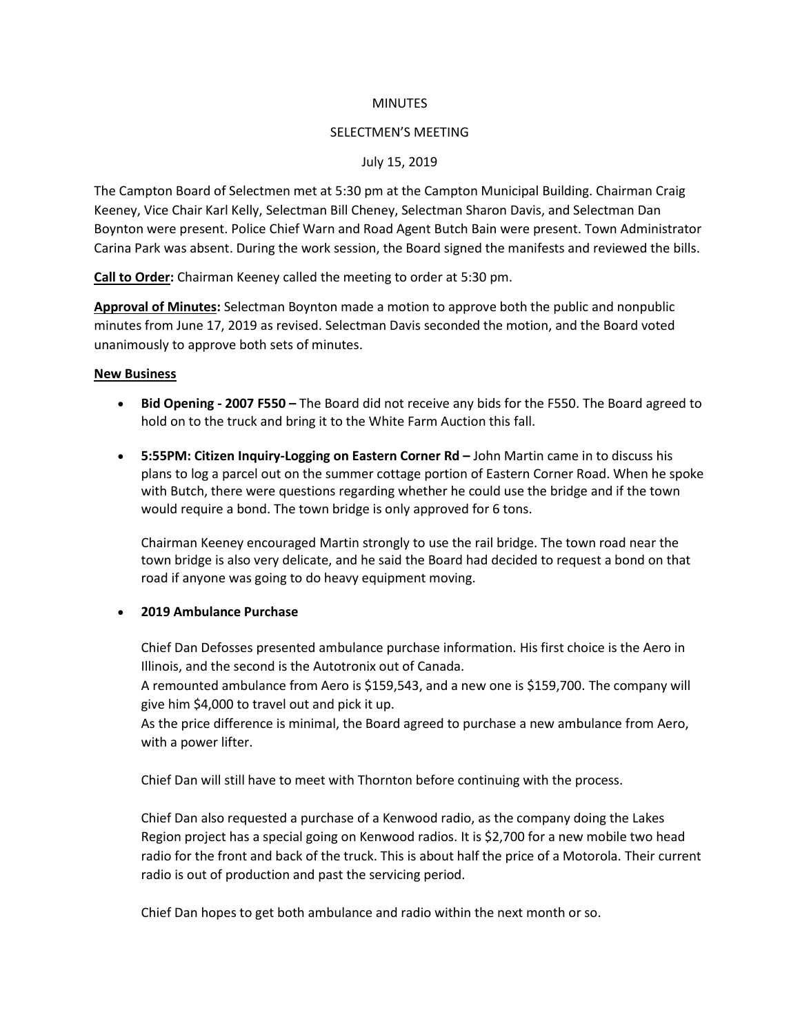#### **MINUTES**

#### SELECTMEN'S MEETING

## July 15, 2019

The Campton Board of Selectmen met at 5:30 pm at the Campton Municipal Building. Chairman Craig Keeney, Vice Chair Karl Kelly, Selectman Bill Cheney, Selectman Sharon Davis, and Selectman Dan Boynton were present. Police Chief Warn and Road Agent Butch Bain were present. Town Administrator Carina Park was absent. During the work session, the Board signed the manifests and reviewed the bills.

**Call to Order:** Chairman Keeney called the meeting to order at 5:30 pm.

**Approval of Minutes:** Selectman Boynton made a motion to approve both the public and nonpublic minutes from June 17, 2019 as revised. Selectman Davis seconded the motion, and the Board voted unanimously to approve both sets of minutes.

#### **New Business**

- **Bid Opening - 2007 F550 –** The Board did not receive any bids for the F550. The Board agreed to hold on to the truck and bring it to the White Farm Auction this fall.
- **5:55PM: Citizen Inquiry-Logging on Eastern Corner Rd –** John Martin came in to discuss his plans to log a parcel out on the summer cottage portion of Eastern Corner Road. When he spoke with Butch, there were questions regarding whether he could use the bridge and if the town would require a bond. The town bridge is only approved for 6 tons.

Chairman Keeney encouraged Martin strongly to use the rail bridge. The town road near the town bridge is also very delicate, and he said the Board had decided to request a bond on that road if anyone was going to do heavy equipment moving.

#### • **2019 Ambulance Purchase**

Chief Dan Defosses presented ambulance purchase information. His first choice is the Aero in Illinois, and the second is the Autotronix out of Canada.

A remounted ambulance from Aero is \$159,543, and a new one is \$159,700. The company will give him \$4,000 to travel out and pick it up.

As the price difference is minimal, the Board agreed to purchase a new ambulance from Aero, with a power lifter.

Chief Dan will still have to meet with Thornton before continuing with the process.

Chief Dan also requested a purchase of a Kenwood radio, as the company doing the Lakes Region project has a special going on Kenwood radios. It is \$2,700 for a new mobile two head radio for the front and back of the truck. This is about half the price of a Motorola. Their current radio is out of production and past the servicing period.

Chief Dan hopes to get both ambulance and radio within the next month or so.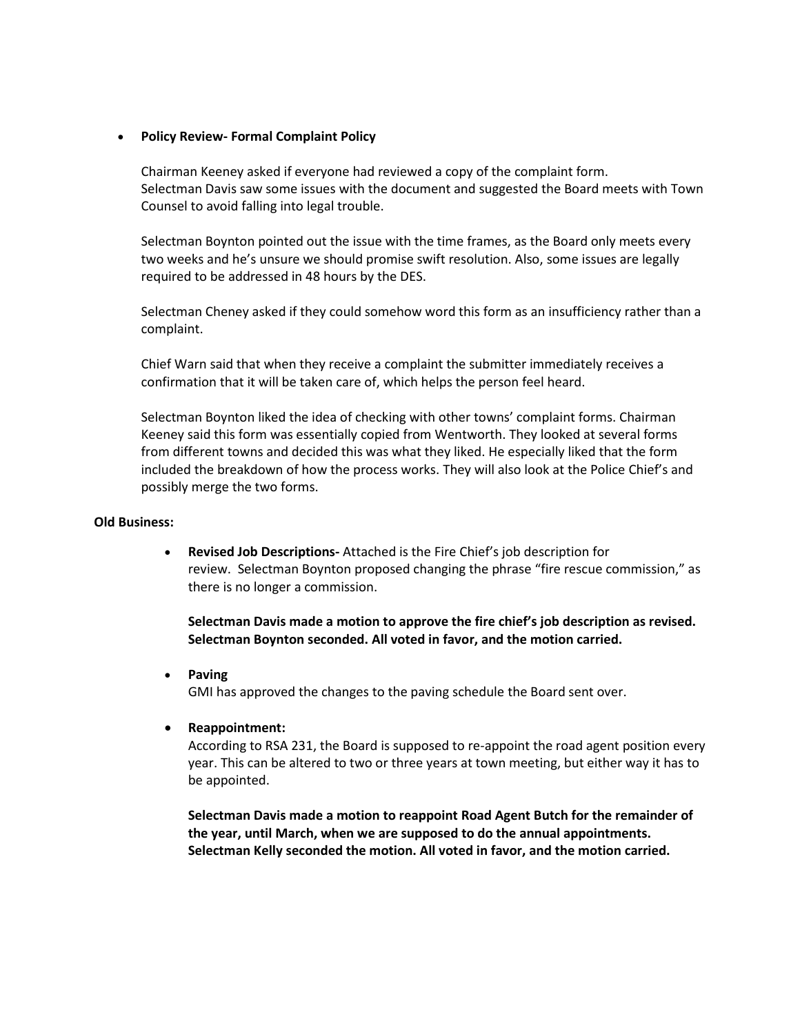## • **Policy Review- Formal Complaint Policy**

Chairman Keeney asked if everyone had reviewed a copy of the complaint form. Selectman Davis saw some issues with the document and suggested the Board meets with Town Counsel to avoid falling into legal trouble.

Selectman Boynton pointed out the issue with the time frames, as the Board only meets every two weeks and he's unsure we should promise swift resolution. Also, some issues are legally required to be addressed in 48 hours by the DES.

Selectman Cheney asked if they could somehow word this form as an insufficiency rather than a complaint.

Chief Warn said that when they receive a complaint the submitter immediately receives a confirmation that it will be taken care of, which helps the person feel heard.

Selectman Boynton liked the idea of checking with other towns' complaint forms. Chairman Keeney said this form was essentially copied from Wentworth. They looked at several forms from different towns and decided this was what they liked. He especially liked that the form included the breakdown of how the process works. They will also look at the Police Chief's and possibly merge the two forms.

#### **Old Business:**

• **Revised Job Descriptions-** Attached is the Fire Chief's job description for review. Selectman Boynton proposed changing the phrase "fire rescue commission," as there is no longer a commission.

**Selectman Davis made a motion to approve the fire chief's job description as revised. Selectman Boynton seconded. All voted in favor, and the motion carried.**

- **Paving** GMI has approved the changes to the paving schedule the Board sent over.
- **Reappointment:**

According to RSA 231, the Board is supposed to re-appoint the road agent position every year. This can be altered to two or three years at town meeting, but either way it has to be appointed.

**Selectman Davis made a motion to reappoint Road Agent Butch for the remainder of the year, until March, when we are supposed to do the annual appointments. Selectman Kelly seconded the motion. All voted in favor, and the motion carried.**